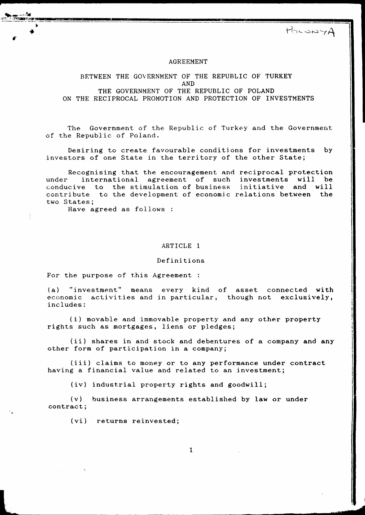POLONYA

**d** 

#### AGREEMENT

# BETWEEN THE GOVERNMENT OF THE REPUBLIC OF TURKEY AND

THE GOVERNMENT OF THE REPUBLIC OF POLAND ON THE RECIPROCAL PROMOTION AND PROTECTION OF INVESTMENTS

The Government of the Republic of Turkey and the Government of the Republic of Poland.

Desiring to create favourable conditions for investments by investors of one State in the territory of the other State;

Recognising that the encouragement and reciprocal protection<br>international agreement of such investments will be under international agreement of such investments will conducive to the stimulation of business initiative and will contribute to the development of economic relations between the two States;

Have agreed as follows :

#### ARTICLE 1

#### Definitions

For the purpose of this Agreement :

(a) "investment" means every kind of asset connected with economic activities and in particular, though not exclusively, includes:

(i) movable and immovable property and any other property rights such as mortgages, liens or pledges;

(ii) shares in and stock and debentures of a company and any other form of participation in a company;

(iii) claims to money or to any performance under contract having a financial value and related to an investment;

(iv) industrial property rights and goodwill;

(v) business arrangements established by law or under contract;

(vi) returns reinvested;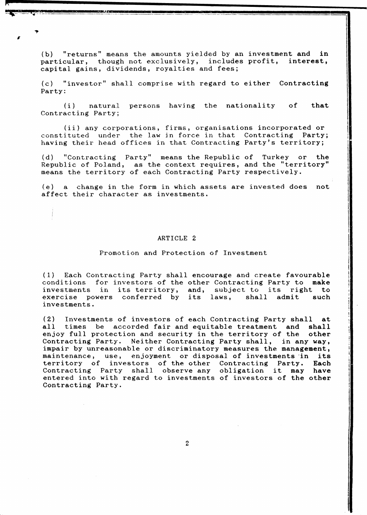(b) "returns" means the amounts yielded by an investment and in particular, though not exclusively, includes profit, interest, capital gains, dividends, royalties and fees;

**A** 

(c) "investor" shall comprise with regard to either Contracting Party:

(i) natural persons having the nationality Contracting Party; of that

(ii) any corporations, firms, organisations incorporated or<br>ituted under the law in force in that Contracting Party; constituted under the law in force in that Contracting having their head offices in that Contracting Party's territory;

(d) "Contracting Party" means the Republic of Turkey or the Republic of Poland, as the context requires, and the "territory" means the territory of each Contracting Party respectively.

(e) a change in the form in which assets are invested does not affect their character as investments.

#### ARTICLE 2

## Promotion and Protection of Investment

(1) Each Contracting Party shall encourage and create favourable<br>conditions for investors of the other Contracting Party to make conditions for investors of the other Contracting Party to investments in its territory, and, subject to its right to exercise powers conferred by its laws, shall admit such exercise powers conferred by its laws, investments.

(2) Investments of investors of each Contracting Party shall at all times be accorded fair and equitable treatment and shall times be accorded fair and equitable treatment and shall<br>by full protection and security in the territory of the other enjoy full protection and security in the territory of the Contracting Party. Neither Contracting Party shall, in any way, impair by unreasonable or discriminatory measures the management, maintenance, use, enjoyment or disposal of investments in its<br>territory of investors of the other Contracting Party. Each territory of investors of the other Contracting Party. Each Contracting Party shall observe any obligation it may have Contracting Party shall observe any obligation it may have<br>entered into with regard to investments of investors of the other Contracting Party.

*z*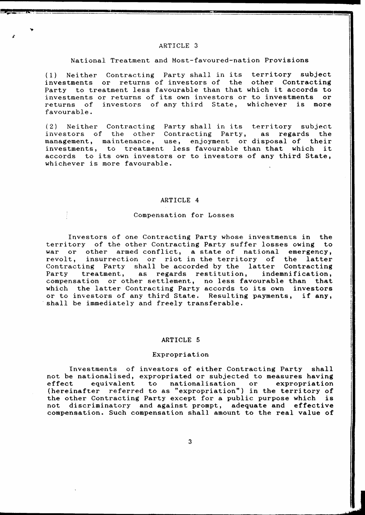# ARTICLE 3

## National Treatment and Most-favoured-nation Provisions

(1) Neither Contracting Party shall in its territory subject or returns of investors of the other Contracting Party to treatment less favourable than that which it accords to investments or returns of its own investors or to investments or investments or returns of its own investors or to investments returns of investors of any third State, whichever is more favourable.

(2) Neither Contracting Party shall in its territory subject investors of the other management, maintenance, use, enjoyment or disposal of their investments, to treatment less favourable than that which accords to its own investors or to investors of any third State, whichever is more favourable.

#### ARTICLE 4

## Compensation for Losses

Investors of one Contracting Party whose investments in the territory of the other Contracting Party suffer losses owing to war or other armed conflict, a state of national emergency, revolt, insurrection or riot in the territory of the latter Contracting Party shall be accorded by the latter Contracting<br>Party treatment, as regards restitution, indemnification, as regards restitution, indemnification, compensation or other settlement, no less favourable than that which the latter Contracting Party accords to its own investors or to investors of any third State. Resulting payments, if any, or to investors of any third State. Resulting payments, shall be immediately and freely transferable.

#### ARTICLE 5

## Expropriation

Investments of investors of either Contracting Party shall not be nationalised, expropriated or subjected to measures having effect equivalent to nationalisation or expropriation (hereinafter referred to as "expropriation") in the territory of the other Contracting Party except for a public purpose which is not discriminatory and against prompt, adequate and effective compensation. Such compensation shall amount to the real value of

3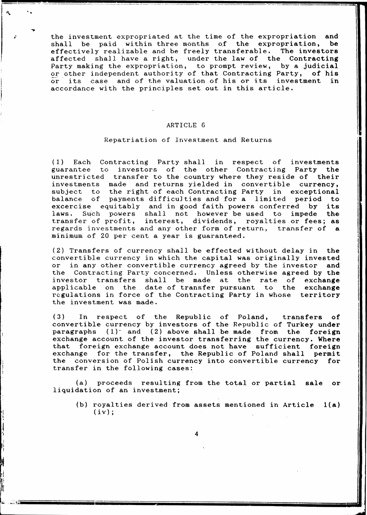the investment expropriated at the time of the expropriation and<br>shall be paid within three months of the expropriation, be shall be paid within three months of the expropriation, be effectively realizable and be freely transferable. The investors effectively realizable and be freely transferable. affected shall have a right, under the law of the Contracting Party making the expropriation, to prompt review, by a judicial or other independent authority of that Contracting Party, of his<br>or its case, and of the valuation of his or its investment, in or its case and of the valuation of his or its investment accordance with the principles set out in this article.

--

I

I 'I

## ARTICLE 6

# Repatriation of Investment and Returns

(1) Each Contracting Party shall in respect of investments guarantee to investors of the other Contractjng Party the unrestricted transfer to the country where they reside of their investments made and returns yielded in convertible currency, subject to the right of each Contracting Party in exceptional<br>balance of payments difficulties and for a limited period to payments difficulties and for a limited period to excercise equitably and in good faith powers conferred by its laws. Such powers shall not however be used to impede the laws. Such powers shall not however be used to transfer of profit, interest, dividends, royalties or fees; as regards investments and any other form of return, transfer of a minimum of 20 per cent a year is guaranteed.

(2) Transfers of currency shall be effected without delay in the convertible currency in which the capital was originally invested or in any other convertible currency agreed by the investor and the Contracting Party concerned. Unless otherwise agreed by the investor transfers shall be made at the rate of exchange applicable on the date of transfer pursuant to the exchange regulations in force of the Contracting Party in whose territory the investment was made.

(3) In respect of the Republic of Poland, transfers of convertible currency by investors of the Republic of Turkey under paragraphs  $(1)^{2}$  and  $(2)$  above shall be made from the foreign exchange account of the investor transferring the currency. Where that foreign exchange account does not have sufficient foreign exchange for the transfer, the Republic of Poland shall permit the conversion of Polish currency into convertible currency for transfer in the following cases:

(a) proceeds resulting from the total or partial sale or liquidation of an investment;

(b) royalties derived from assets mentioned in Article l(a)  $(iv)$  ;

4

.,; .... ;~ **!!>;Jiiiiiiiiiiiiiiiiiiiiiiiiiiiiiiiiiiiiiiiiiiiiiiiiiiiiiiiiiiiiiiiiiiiiiiiiiiiiiiiiiiiiiiiiiiiiiiiii \_\_ iiiiiiiiiiiiiiiiiiiiiiiiiiiiiiiiiiiiiiiiiiiiiiiiiiiiiiiiiiiiiiiiiiiiiiiiiiiiiiiiiiiiiiiiiiiiiiiiiiiiiiiiiiiiiiiiiiiiiiiiiiiiiiiiiiiil**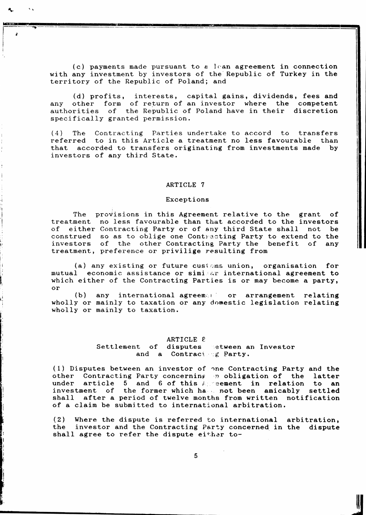(c) payments made pursuant to a lean agreement in connection with any investment by investors of the Republic of Turkey in the territory of the Republic of Poland; and

(d) profits, interests, capital gains, dividends, fees and any other form of return of an investor where the competent any other form of return of an investor where the competent<br>authorities of the Republic of Poland have in their discretion specifically granted permission.

(4) The Contracting Parties undertake to accord to transfers referred to in this Article a treatment no less favourable than that accorded to transfers originating from investments made by investors of any third State.

## ARTICLE 7

## Exceptions

l  $\ddot{\epsilon}$  --- ...,

The treatment no less favourable than that accorded to the investors of either Contracting Party or of any third State shall not be construed so as to oblige one Contracting Party to extend to the investors of the other Contracting Party the benefit of any treatment, preference or privilige resulting from provisions in this Agreement relative to the grant of

(a) any existing or future customs union, organisation for<br>mutual economic assistance or similar international agreement to economic assistance or simi ar international agreement to which either of the Contracting Parties is or may become a party, or

(b) any international agreement or arrangement relating wholly or mainly to taxation or any domestic legislation relating wholly or mainly to taxation.

#### ARTICLE  $\ell$

Settlement of and a Contracter Farty. disputes etween an Investor

(1) Disputes between an investor of 0ne Contracting Party and the other Contracting Party-concerning in obligation of the latter<br>under article 5 and 6 of this Apreement in relation to an and 6 of this  $A$ ; eement in relation to an investment of the former which ha . not been amicably settled shall after a period of twelve months from written notification of a claim be submitted to international arbitration.

(2) Where the dispute is referred to international arbitration, the investor and the Contracting Party concerned in the dispute shall agree to refer the dispute either to-

**It**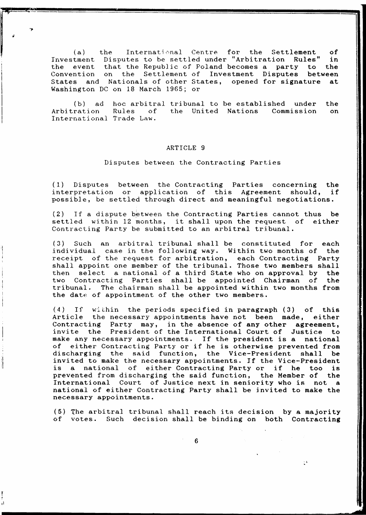$(a)$ Investment Disputes to be settled under "Arbitration Rules" in the event that the Republic of Poland becomes a party to the Convention on the Settlement of Investment Disputes between States and Nationals of other States, opened for signature at the International Centre for the Settlement of<br>Disputes to be settled under "Arbitration Rules" in Washington DC on 18 March 1965; or

(b) ad hoc arbitral tribunal to be established under the Arbitration Rules of the United Nations Commission on the United Nations International Trade Law.

## ARTICLE 9

#### Disputes between the Contracting Parties

(1) Disputes between the Contracting Parties concerning the interpretation or application of this Agreement should, possible, be settled through direct and meaningful negotiations.

 $(2)$  If a dispute between the Contracting Parties cannot thus be settled within 12 months, it shall upon the request of either Contracting Party be submitted to an arbitral tribunal.

 $(3)$  Such an arbitral tribunal shall be constituted for each individual case in the following way. Within two months of the individual case in the following way. Within two months of receipt of the request for arbitration, each Contracting Party shall appoint one member of the tribunal. Those two members shall then select a national of a third State who on approval by the two Contracting Parties shall be appointed Chairman of tribunal. The chairman shall be appointed within two months from the date of appointment of the other two members.

 $(4)$  If within the periods specified in paragraph  $(3)$  of this Article the necessary appointments have not been made, either the necessary appointments have not been made, Contracting Party may, in the absence of any other agreement,<br>invite the President of the International Court of Justice to the President of the International Court of Justice to make any necessary appointments. If the president is a national of either Contracting Party or if he is otherwise prevented from discharging the said function, the Vice-President shall be invited to make the necessary appointments. If the Vice-President<br>is a national of either Contracting Party or if he too is either Contracting Party or if he too is prevented from discharging the said function, the Member of the International Court of Justice next in seniority who is not a national of either Contracting Party shall be invited to make the necessary appointments.

(5) 1he arbitral tribunal shall reach its decision by a majority of votes. Such decision shall be binding on both Contracting

6

 $\mathbf{y}$ 

il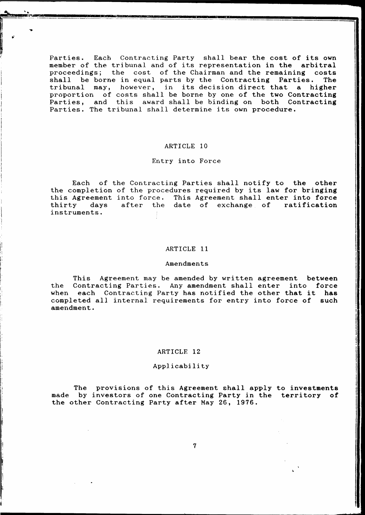Parties. Each Contracting Party shall bear the cost of its own member of the tribunal and of its representation in the arbitral<br>proceedings; the cost of the Chairman and the remaining costs proceedings; the cost of the Chairman and the remaining costs shall be borne in equal parts by the Contracting Parties. The be borne in equal parts by the Contracting tribunal may, however, in its decision direct that a higher proportion of costs shall be borne by one of the two Contracting Parties, and this award shall be binding on both Contracting Parties. The tribunal shall determine its own procedure.

## ARTICLE 10

# Entry into Force

Each of the Contracting Parties shall notify to the other the completion of the procedures required by its law for bringing this Agreement into force. This Agreement shall enter into force<br>thirty days after the date of exchange of ratification date of exchange of instruments.

#### ARTICLE 11

#### Amendments

I: I I i

l i I

! I, I:  $\vert$ i.

I  $\mathbb{R}^2$ 

This Agreement may be amended by written agreement between<br>Contracting Parties. Any amendment shall enter into force the Contracting Parties. Any amendment shall enter into when each Contracting Party has notified the other that it **has**  completed all internal requirements for entry into force of amendment.

#### ARTICLE 12

#### Applicability

The provisions of this Agreement shall apply to investments made by investors of one Contracting Party in the territory of the other Contracting Party after May 26, 1976.

7